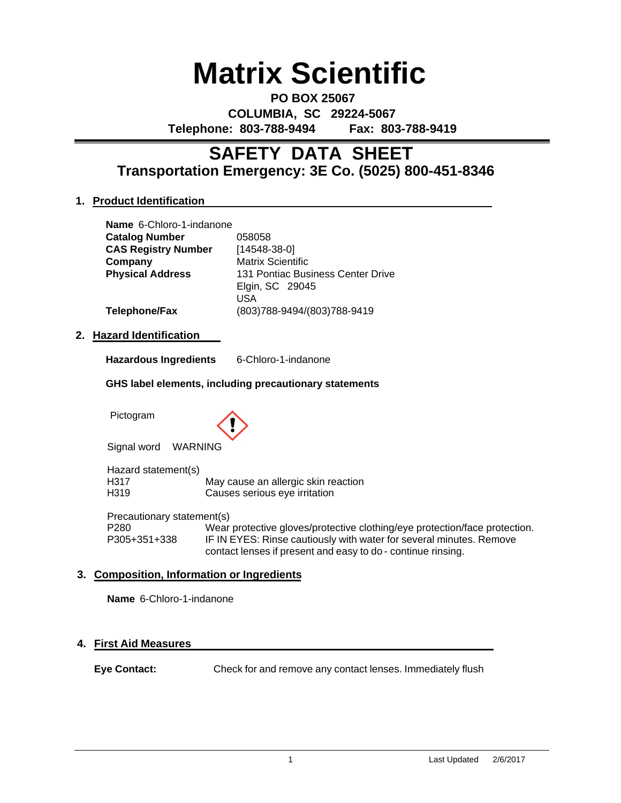# **Matrix Scientific**

**PO BOX 25067 COLUMBIA, SC 29224-5067 Telephone: 803-788-9494 Fax: 803-788-9419**

# **Transportation Emergency: 3E Co. (5025) 800-451-8346 SAFETY DATA SHEET**

# **1. Product Identification**

| Name 6-Chloro-1-indanone   |                                   |
|----------------------------|-----------------------------------|
| <b>Catalog Number</b>      | 058058                            |
| <b>CAS Registry Number</b> | $[14548-38-0]$                    |
| Company                    | <b>Matrix Scientific</b>          |
| <b>Physical Address</b>    | 131 Pontiac Business Center Drive |
|                            | Elgin, SC 29045                   |
|                            | USA                               |
| <b>Telephone/Fax</b>       | (803)788-9494/(803)788-9419       |
|                            |                                   |

# **2. Hazard Identification**

| <b>Hazardous Ingredients</b> | 6-Chloro-1-indanone |
|------------------------------|---------------------|
|------------------------------|---------------------|

#### **GHS label elements, including precautionary statements**

Pictogram



Signal word WARNING

Hazard statement(s) H317 May cause an allergic skin reaction H319 Causes serious eye irritation

Precautionary statement(s) P280 Wear protective gloves/protective clothing/eye protection/face protection. P305+351+338 IF IN EYES: Rinse cautiously with water for several minutes. Remove contact lenses if present and easy to do - continue rinsing.

# **3. Composition, Information or Ingredients**

**Name** 6-Chloro-1-indanone

# **4. First Aid Measures**

**Eye Contact:** Check for and remove any contact lenses. Immediately flush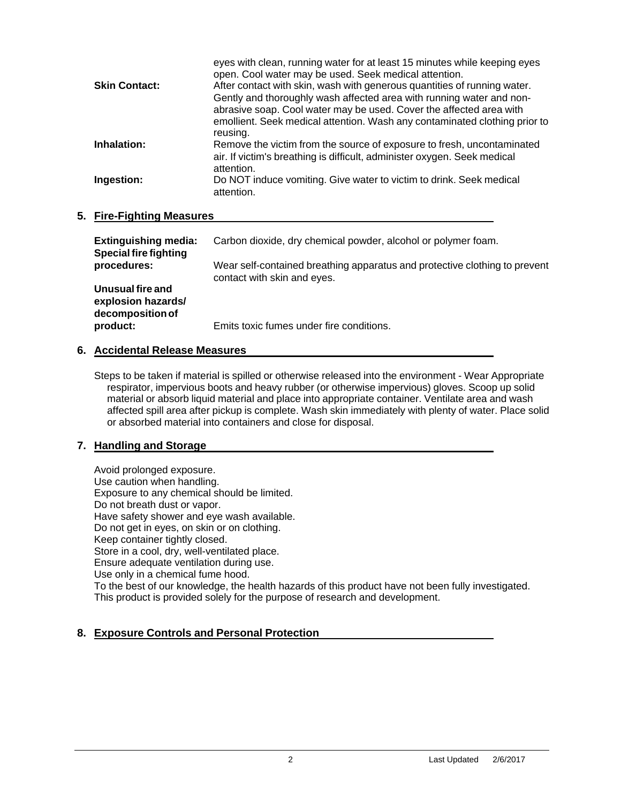|                      | eyes with clean, running water for at least 15 minutes while keeping eyes<br>open. Cool water may be used. Seek medical attention. |
|----------------------|------------------------------------------------------------------------------------------------------------------------------------|
| <b>Skin Contact:</b> | After contact with skin, wash with generous quantities of running water.                                                           |
|                      | Gently and thoroughly wash affected area with running water and non-                                                               |
|                      | abrasive soap. Cool water may be used. Cover the affected area with                                                                |
|                      | emollient. Seek medical attention. Wash any contaminated clothing prior to                                                         |
|                      | reusing.                                                                                                                           |
| Inhalation:          | Remove the victim from the source of exposure to fresh, uncontaminated                                                             |
|                      | air. If victim's breathing is difficult, administer oxygen. Seek medical                                                           |
|                      | attention.                                                                                                                         |
| Ingestion:           | Do NOT induce vomiting. Give water to victim to drink. Seek medical                                                                |
|                      | attention.                                                                                                                         |
|                      |                                                                                                                                    |

#### **5. Fire-Fighting Measures**

| <b>Extinguishing media:</b><br><b>Special fire fighting</b> | Carbon dioxide, dry chemical powder, alcohol or polymer foam.                                             |
|-------------------------------------------------------------|-----------------------------------------------------------------------------------------------------------|
| procedures:                                                 | Wear self-contained breathing apparatus and protective clothing to prevent<br>contact with skin and eyes. |
| Unusual fire and<br>explosion hazards/<br>decomposition of  |                                                                                                           |
| product:                                                    | Emits toxic fumes under fire conditions.                                                                  |

#### **6. Accidental Release Measures**

Steps to be taken if material is spilled or otherwise released into the environment - Wear Appropriate respirator, impervious boots and heavy rubber (or otherwise impervious) gloves. Scoop up solid material or absorb liquid material and place into appropriate container. Ventilate area and wash affected spill area after pickup is complete. Wash skin immediately with plenty of water. Place solid or absorbed material into containers and close for disposal.

# **7. Handling and Storage**

Avoid prolonged exposure. Use caution when handling. Exposure to any chemical should be limited. Do not breath dust or vapor. Have safety shower and eye wash available. Do not get in eyes, on skin or on clothing. Keep container tightly closed. Store in a cool, dry, well-ventilated place. Ensure adequate ventilation during use. Use only in a chemical fume hood. To the best of our knowledge, the health hazards of this product have not been fully investigated. This product is provided solely for the purpose of research and development.

# **8. Exposure Controls and Personal Protection**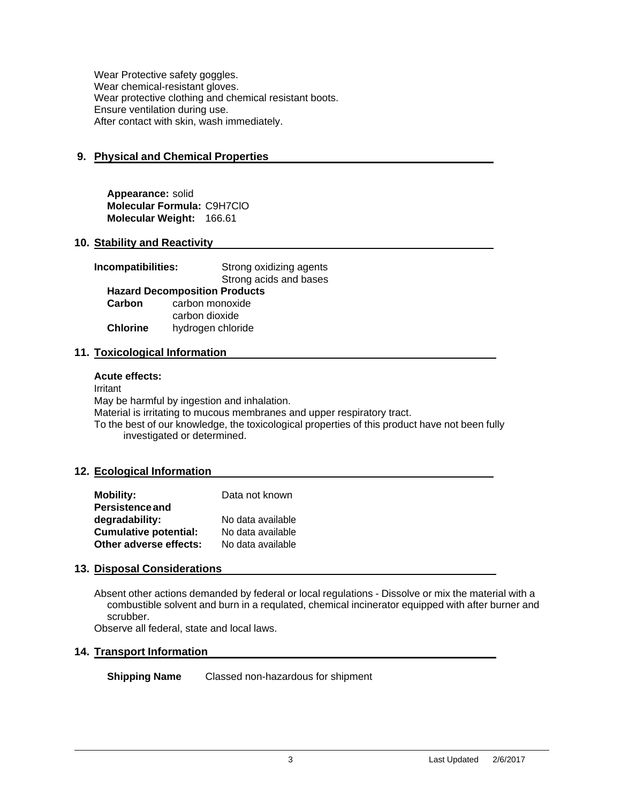Wear Protective safety goggles. Wear chemical-resistant gloves. Wear protective clothing and chemical resistant boots. Ensure ventilation during use. After contact with skin, wash immediately.

# **9. Physical and Chemical Properties**

**Appearance:** solid **Molecular Formula:** C9H7ClO **Molecular Weight:** 166.61

#### **10. Stability and Reactivity**

| Incompatibilities:                   | Strong oxidizing agents<br>Strong acids and bases |  |  |  |
|--------------------------------------|---------------------------------------------------|--|--|--|
| <b>Hazard Decomposition Products</b> |                                                   |  |  |  |
| Carbon                               | carbon monoxide                                   |  |  |  |
|                                      | carbon dioxide                                    |  |  |  |
| <b>Chlorine</b>                      | hydrogen chloride                                 |  |  |  |

#### **11. Toxicological Information**

#### **Acute effects:**

Irritant

May be harmful by ingestion and inhalation.

Material is irritating to mucous membranes and upper respiratory tract.

To the best of our knowledge, the toxicological properties of this product have not been fully investigated or determined.

# **12. Ecological Information**

| <b>Mobility:</b>             | Data not known    |
|------------------------------|-------------------|
| <b>Persistence and</b>       |                   |
| degradability:               | No data available |
| <b>Cumulative potential:</b> | No data available |
| Other adverse effects:       | No data available |

# **13. Disposal Considerations**

Absent other actions demanded by federal or local regulations - Dissolve or mix the material with a combustible solvent and burn in a requlated, chemical incinerator equipped with after burner and scrubber.

Observe all federal, state and local laws.

# **14. Transport Information**

**Shipping Name** Classed non-hazardous for shipment